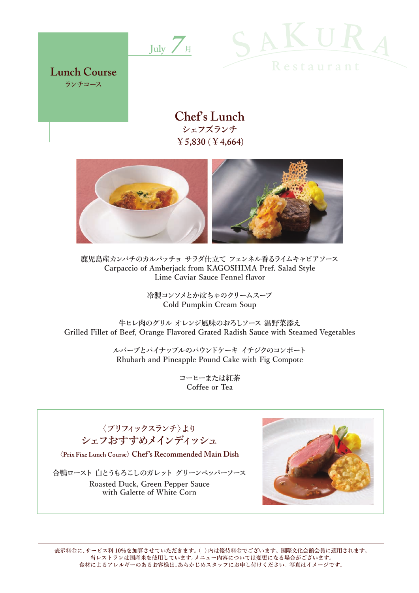



**Lunch Course ランチコース**

# **Chef's Lunch シェフズランチ ¥5,830** (**¥4,664**)



**鹿児島産カンパチのカルパッチョ サラダ仕立て フェンネル香るライムキャビアソース Carpaccio of Amberjack from KAGOSHIMA Pref. Salad Style Lime Caviar Sauce Fennel flavor**

> **冷製コンソメとかぼちゃのクリームスープ Cold Pumpkin Cream Soup**

**牛ヒレ肉のグリル オレンジ風味のおろしソース 温野菜添え Grilled Fillet of Beef, Orange Flavored Grated Radish Sauce with Steamed Vegetables**

> **ルバーブとパイナップルのパウンドケーキ イチジクのコンポート Rhubarb and Pineapple Pound Cake with Fig Compote**

> > **コーヒーまたは紅茶 Coffee or Tea**